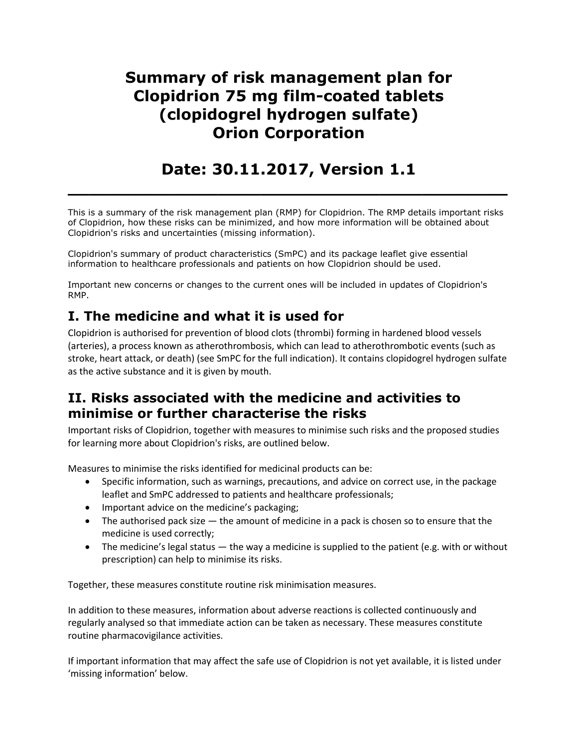## **Summary of risk management plan for Clopidrion 75 mg film-coated tablets (clopidogrel hydrogen sulfate) Orion Corporation**

# **Date: 30.11.2017, Version 1.1**

**\_\_\_\_\_\_\_\_\_\_\_\_\_\_\_\_\_\_\_\_\_\_\_\_\_\_\_\_\_\_\_\_\_\_\_\_\_\_\_\_\_**

This is a summary of the risk management plan (RMP) for Clopidrion. The RMP details important risks of Clopidrion, how these risks can be minimized, and how more information will be obtained about Clopidrion's risks and uncertainties (missing information).

Clopidrion's summary of product characteristics (SmPC) and its package leaflet give essential information to healthcare professionals and patients on how Clopidrion should be used.

Important new concerns or changes to the current ones will be included in updates of Clopidrion's RMP.

## **I. The medicine and what it is used for**

Clopidrion is authorised for prevention of blood clots (thrombi) forming in hardened blood vessels (arteries), a process known as atherothrombosis, which can lead to atherothrombotic events (such as stroke, heart attack, or death) (see SmPC for the full indication). It contains clopidogrel hydrogen sulfate as the active substance and it is given by mouth.

### **II. Risks associated with the medicine and activities to minimise or further characterise the risks**

Important risks of Clopidrion, together with measures to minimise such risks and the proposed studies for learning more about Clopidrion's risks, are outlined below.

Measures to minimise the risks identified for medicinal products can be:

- Specific information, such as warnings, precautions, and advice on correct use, in the package leaflet and SmPC addressed to patients and healthcare professionals;
- Important advice on the medicine's packaging;
- The authorised pack size the amount of medicine in a pack is chosen so to ensure that the medicine is used correctly;
- $\bullet$  The medicine's legal status  $-$  the way a medicine is supplied to the patient (e.g. with or without prescription) can help to minimise its risks.

Together, these measures constitute routine risk minimisation measures.

In addition to these measures, information about adverse reactions is collected continuously and regularly analysed so that immediate action can be taken as necessary. These measures constitute routine pharmacovigilance activities.

If important information that may affect the safe use of Clopidrion is not yet available, it is listed under 'missing information' below.